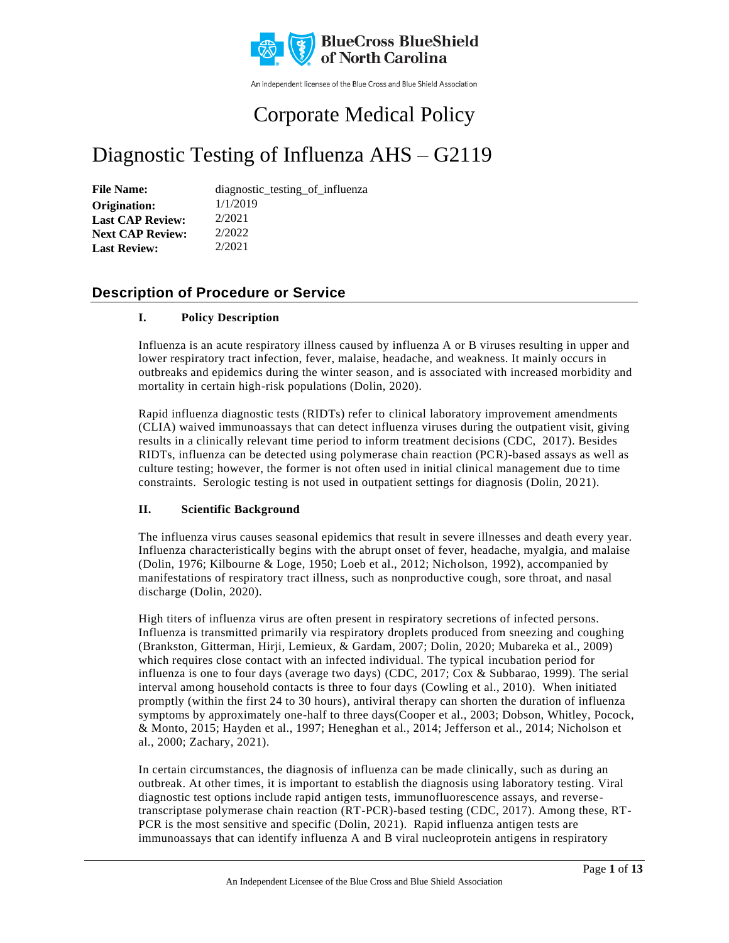

An independent licensee of the Blue Cross and Blue Shield Association

# Corporate Medical Policy

# Diagnostic Testing of Influenza AHS – G2119

File Name: diagnostic\_testing\_of\_influenza 1/1/2019 2/2021 2/2022 2/2021 **Origination: Last CAP Review: Next CAP Review: Last Review:**

### **Description of Procedure or Service**

#### **I. Policy Description**

Influenza is an acute respiratory illness caused by influenza A or B viruses resulting in upper and lower respiratory tract infection, fever, malaise, headache, and weakness. It mainly occurs in outbreaks and epidemics during the winter season, and is associated with increased morbidity and mortality in certain high-risk populations (Dolin, 2020).

Rapid influenza diagnostic tests (RIDTs) refer to clinical laboratory improvement amendments (CLIA) waived immunoassays that can detect influenza viruses during the outpatient visit, giving results in a clinically relevant time period to inform treatment decisions (CDC, 2017). Besides RIDTs, influenza can be detected using polymerase chain reaction (PCR)-based assays as well as culture testing; however, the former is not often used in initial clinical management due to time constraints. Serologic testing is not used in outpatient settings for diagnosis (Dolin, 20 21).

#### **II. Scientific Background**

The influenza virus causes seasonal epidemics that result in severe illnesses and death every year. Influenza characteristically begins with the abrupt onset of fever, headache, myalgia, and malaise (Dolin, 1976; Kilbourne & Loge, 1950; Loeb et al., 2012; Nicholson, 1992), accompanied by manifestations of respiratory tract illness, such as nonproductive cough, sore throat, and nasal discharge (Dolin, 2020).

High titers of influenza virus are often present in respiratory secretions of infected persons. Influenza is transmitted primarily via respiratory droplets produced from sneezing and coughing (Brankston, Gitterman, Hirji, Lemieux, & Gardam, 2007; Dolin, 2020; Mubareka et al., 2009) which requires close contact with an infected individual. The typical incubation period for influenza is one to four days (average two days) (CDC, 2017; Cox & Subbarao, 1999). The serial interval among household contacts is three to four days (Cowling et al., 2010). When initiated promptly (within the first 24 to 30 hours), antiviral therapy can shorten the duration of influenza symptoms by approximately one-half to three days(Cooper et al., 2003; Dobson, Whitley, Pocock, & Monto, 2015; Hayden et al., 1997; Heneghan et al., 2014; Jefferson et al., 2014; Nicholson et al., 2000; Zachary, 2021).

In certain circumstances, the diagnosis of influenza can be made clinically, such as during an outbreak. At other times, it is important to establish the diagnosis using laboratory testing. Viral diagnostic test options include rapid antigen tests, immunofluorescence assays, and reversetranscriptase polymerase chain reaction (RT-PCR)-based testing (CDC, 2017). Among these, RT-PCR is the most sensitive and specific (Dolin, 2021). Rapid influenza antigen tests are immunoassays that can identify influenza A and B viral nucleoprotein antigens in respiratory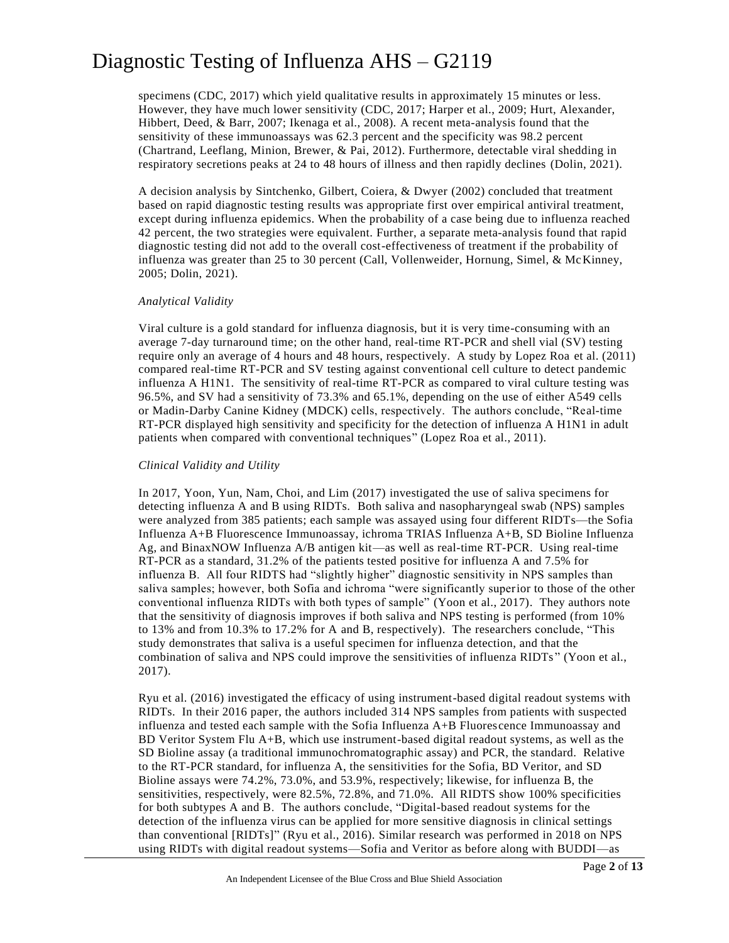specimens (CDC, 2017) which yield qualitative results in approximately 15 minutes or less. However, they have much lower sensitivity (CDC, 2017; Harper et al., 2009; Hurt, Alexander, Hibbert, Deed, & Barr, 2007; Ikenaga et al., 2008). A recent meta-analysis found that the sensitivity of these immunoassays was 62.3 percent and the specificity was 98.2 percent (Chartrand, Leeflang, Minion, Brewer, & Pai, 2012). Furthermore, detectable viral shedding in respiratory secretions peaks at 24 to 48 hours of illness and then rapidly declines (Dolin, 2021).

A decision analysis by Sintchenko, Gilbert, Coiera, & Dwyer (2002) concluded that treatment based on rapid diagnostic testing results was appropriate first over empirical antiviral treatment, except during influenza epidemics. When the probability of a case being due to influenza reached 42 percent, the two strategies were equivalent. Further, a separate meta-analysis found that rapid diagnostic testing did not add to the overall cost-effectiveness of treatment if the probability of influenza was greater than 25 to 30 percent (Call, Vollenweider, Hornung, Simel, & McKinney, 2005; Dolin, 2021).

#### *Analytical Validity*

Viral culture is a gold standard for influenza diagnosis, but it is very time-consuming with an average 7-day turnaround time; on the other hand, real-time RT-PCR and shell vial (SV) testing require only an average of 4 hours and 48 hours, respectively. A study by Lopez Roa et al. (2011) compared real-time RT-PCR and SV testing against conventional cell culture to detect pandemic influenza A H1N1. The sensitivity of real-time RT-PCR as compared to viral culture testing was 96.5%, and SV had a sensitivity of 73.3% and 65.1%, depending on the use of either A549 cells or Madin-Darby Canine Kidney (MDCK) cells, respectively. The authors conclude, "Real-time RT-PCR displayed high sensitivity and specificity for the detection of influenza A H1N1 in adult patients when compared with conventional techniques" (Lopez Roa et al., 2011).

#### *Clinical Validity and Utility*

In 2017, Yoon, Yun, Nam, Choi, and Lim (2017) investigated the use of saliva specimens for detecting influenza A and B using RIDTs. Both saliva and nasopharyngeal swab (NPS) samples were analyzed from 385 patients; each sample was assayed using four different RIDTs—the Sofia Influenza A+B Fluorescence Immunoassay, ichroma TRIAS Influenza A+B, SD Bioline Influenza Ag, and BinaxNOW Influenza A/B antigen kit—as well as real-time RT-PCR. Using real-time RT-PCR as a standard, 31.2% of the patients tested positive for influenza A and 7.5% for influenza B. All four RIDTS had "slightly higher" diagnostic sensitivity in NPS samples than saliva samples; however, both Sofia and ichroma "were significantly superior to those of the other conventional influenza RIDTs with both types of sample" (Yoon et al., 2017). They authors note that the sensitivity of diagnosis improves if both saliva and NPS testing is performed (from 10% to 13% and from 10.3% to 17.2% for A and B, respectively). The researchers conclude, "This study demonstrates that saliva is a useful specimen for influenza detection, and that the combination of saliva and NPS could improve the sensitivities of influenza RIDTs " (Yoon et al., 2017).

Ryu et al. (2016) investigated the efficacy of using instrument-based digital readout systems with RIDTs. In their 2016 paper, the authors included 314 NPS samples from patients with suspected influenza and tested each sample with the Sofia Influenza A+B Fluorescence Immunoassay and BD Veritor System Flu A+B, which use instrument-based digital readout systems, as well as the SD Bioline assay (a traditional immunochromatographic assay) and PCR, the standard. Relative to the RT-PCR standard, for influenza A, the sensitivities for the Sofia, BD Veritor, and SD Bioline assays were 74.2%, 73.0%, and 53.9%, respectively; likewise, for influenza B, the sensitivities, respectively, were 82.5%, 72.8%, and 71.0%. All RIDTS show 100% specificities for both subtypes A and B. The authors conclude, "Digital-based readout systems for the detection of the influenza virus can be applied for more sensitive diagnosis in clinical settings than conventional [RIDTs]" (Ryu et al., 2016). Similar research was performed in 2018 on NPS using RIDTs with digital readout systems—Sofia and Veritor as before along with BUDDI—as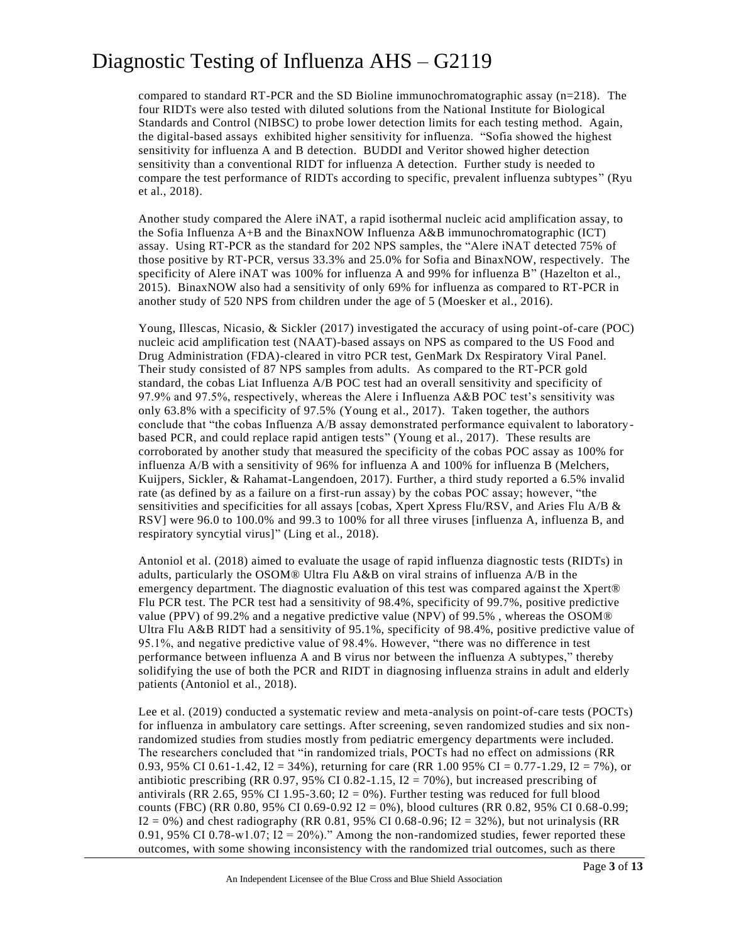compared to standard RT-PCR and the SD Bioline immunochromatographic assay  $(n=218)$ . The four RIDTs were also tested with diluted solutions from the National Institute for Biological Standards and Control (NIBSC) to probe lower detection limits for each testing method. Again, the digital-based assays exhibited higher sensitivity for influenza. "Sofia showed the highest sensitivity for influenza A and B detection. BUDDI and Veritor showed higher detection sensitivity than a conventional RIDT for influenza A detection. Further study is needed to compare the test performance of RIDTs according to specific, prevalent influenza subtypes " (Ryu et al., 2018).

Another study compared the Alere iNAT, a rapid isothermal nucleic acid amplification assay, to the Sofia Influenza  $A+B$  and the BinaxNOW Influenza  $A&B$  immunochromatographic (ICT) assay. Using RT-PCR as the standard for 202 NPS samples, the "Alere iNAT detected 75% of those positive by RT-PCR, versus 33.3% and 25.0% for Sofia and BinaxNOW, respectively. The specificity of Alere iNAT was 100% for influenza A and 99% for influenza B" (Hazelton et al., 2015). BinaxNOW also had a sensitivity of only 69% for influenza as compared to RT-PCR in another study of 520 NPS from children under the age of 5 (Moesker et al., 2016).

Young, Illescas, Nicasio, & Sickler (2017) investigated the accuracy of using point-of-care (POC) nucleic acid amplification test (NAAT)-based assays on NPS as compared to the US Food and Drug Administration (FDA)-cleared in vitro PCR test, GenMark Dx Respiratory Viral Panel. Their study consisted of 87 NPS samples from adults. As compared to the RT-PCR gold standard, the cobas Liat Influenza A/B POC test had an overall sensitivity and specificity of 97.9% and 97.5%, respectively, whereas the Alere i Influenza A&B POC test's sensitivity was only 63.8% with a specificity of 97.5% (Young et al., 2017). Taken together, the authors conclude that "the cobas Influenza A/B assay demonstrated performance equivalent to laboratory based PCR, and could replace rapid antigen tests" (Young et al., 2017). These results are corroborated by another study that measured the specificity of the cobas POC assay as 100% for influenza A/B with a sensitivity of 96% for influenza A and 100% for influenza B (Melchers, Kuijpers, Sickler, & Rahamat-Langendoen, 2017). Further, a third study reported a 6.5% invalid rate (as defined by as a failure on a first-run assay) by the cobas POC assay; however, "the sensitivities and specificities for all assays [cobas, Xpert Xpress Flu/RSV, and Aries Flu A/B & RSV] were 96.0 to 100.0% and 99.3 to 100% for all three viruses [influenza A, influenza B, and respiratory syncytial virus]" (Ling et al., 2018).

Antoniol et al. (2018) aimed to evaluate the usage of rapid influenza diagnostic tests (RIDTs) in adults, particularly the OSOM® Ultra Flu A&B on viral strains of influenza A/B in the emergency department. The diagnostic evaluation of this test was compared against the Xpert® Flu PCR test. The PCR test had a sensitivity of 98.4%, specificity of 99.7%, positive predictive value (PPV) of 99.2% and a negative predictive value (NPV) of 99.5% , whereas the OSOM® Ultra Flu A&B RIDT had a sensitivity of 95.1%, specificity of 98.4%, positive predictive value of 95.1%, and negative predictive value of 98.4%. However, "there was no difference in test performance between influenza A and B virus nor between the influenza A subtypes," thereby solidifying the use of both the PCR and RIDT in diagnosing influenza strains in adult and elderly patients (Antoniol et al., 2018).

Lee et al. (2019) conducted a systematic review and meta-analysis on point-of-care tests (POCTs) for influenza in ambulatory care settings. After screening, seven randomized studies and six nonrandomized studies from studies mostly from pediatric emergency departments were included. The researchers concluded that "in randomized trials, POCTs had no effect on admissions (RR 0.93, 95% CI 0.61-1.42,  $I2 = 34\%$ ), returning for care (RR 1.00 95% CI = 0.77-1.29, I2 = 7%), or antibiotic prescribing (RR 0.97, 95% CI 0.82-1.15,  $I2 = 70%$ ), but increased prescribing of antivirals (RR 2.65, 95% CI 1.95-3.60; I2 = 0%). Further testing was reduced for full blood counts (FBC) (RR 0.80, 95% CI 0.69-0.92 I2 = 0%), blood cultures (RR 0.82, 95% CI 0.68-0.99;  $I2 = 0%$ ) and chest radiography (RR 0.81, 95% CI 0.68-0.96; I2 = 32%), but not urinalysis (RR 0.91, 95% CI 0.78-w1.07; I2 = 20%)." Among the non-randomized studies, fewer reported these outcomes, with some showing inconsistency with the randomized trial outcomes, such as there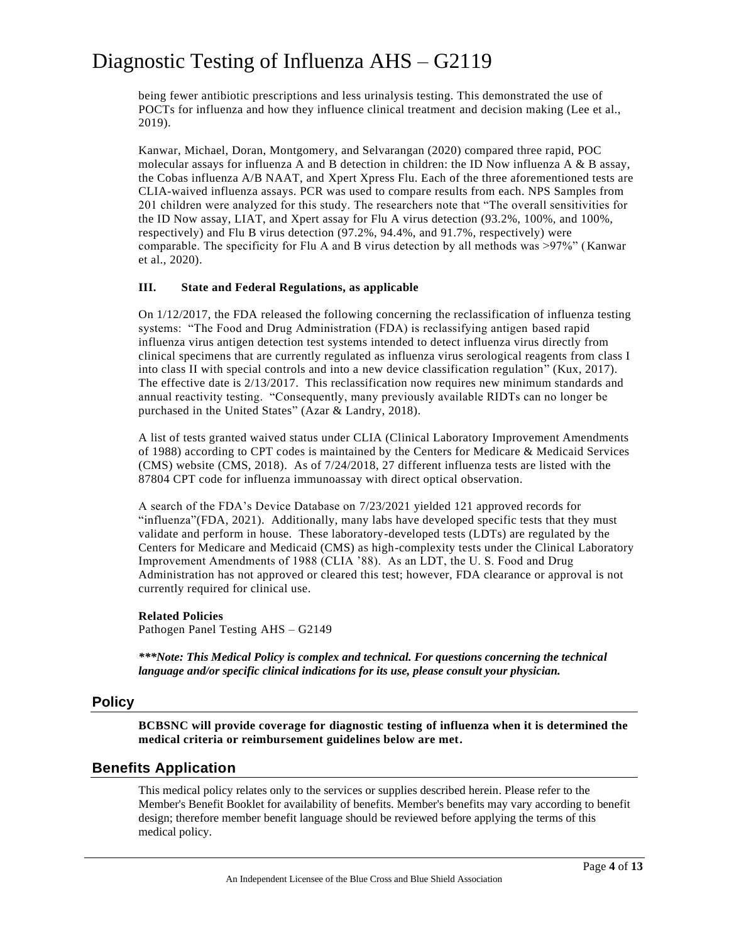being fewer antibiotic prescriptions and less urinalysis testing. This demonstrated the use of POCTs for influenza and how they influence clinical treatment and decision making (Lee et al., 2019).

Kanwar, Michael, Doran, Montgomery, and Selvarangan (2020) compared three rapid, POC molecular assays for influenza A and B detection in children: the ID Now influenza A  $\&$  B assay, the Cobas influenza A/B NAAT, and Xpert Xpress Flu. Each of the three aforementioned tests are CLIA-waived influenza assays. PCR was used to compare results from each. NPS Samples from 201 children were analyzed for this study. The researchers note that "The overall sensitivities for the ID Now assay, LIAT, and Xpert assay for Flu A virus detection (93.2%, 100%, and 100%, respectively) and Flu B virus detection (97.2%, 94.4%, and 91.7%, respectively) were comparable. The specificity for Flu A and B virus detection by all methods was >97%" (Kanwar et al., 2020).

#### **III. State and Federal Regulations, as applicable**

On 1/12/2017, the FDA released the following concerning the reclassification of influenza testing systems: "The Food and Drug Administration (FDA) is reclassifying antigen based rapid influenza virus antigen detection test systems intended to detect influenza virus directly from clinical specimens that are currently regulated as influenza virus serological reagents from class I into class II with special controls and into a new device classification regulation" (Kux, 2017). The effective date is 2/13/2017. This reclassification now requires new minimum standards and annual reactivity testing. "Consequently, many previously available RIDTs can no longer be purchased in the United States" (Azar & Landry, 2018).

A list of tests granted waived status under CLIA (Clinical Laboratory Improvement Amendments of 1988) according to CPT codes is maintained by the Centers for Medicare & Medicaid Services (CMS) website (CMS, 2018). As of 7/24/2018, 27 different influenza tests are listed with the 87804 CPT code for influenza immunoassay with direct optical observation.

A search of the FDA's Device Database on 7/23/2021 yielded 121 approved records for "influenza"(FDA, 2021). Additionally, many labs have developed specific tests that they must validate and perform in house. These laboratory-developed tests (LDTs) are regulated by the Centers for Medicare and Medicaid (CMS) as high-complexity tests under the Clinical Laboratory Improvement Amendments of 1988 (CLIA '88). As an LDT, the U. S. Food and Drug Administration has not approved or cleared this test; however, FDA clearance or approval is not currently required for clinical use.

#### **Related Policies**

Pathogen Panel Testing AHS – G2149

*\*\*\*Note: This Medical Policy is complex and technical. For questions concerning the technical language and/or specific clinical indications for its use, please consult your physician.*

#### **Policy**

**BCBSNC will provide coverage for diagnostic testing of influenza when it is determined the medical criteria or reimbursement guidelines below are met.**

#### **Benefits Application**

This medical policy relates only to the services or supplies described herein. Please refer to the Member's Benefit Booklet for availability of benefits. Member's benefits may vary according to benefit design; therefore member benefit language should be reviewed before applying the terms of this medical policy.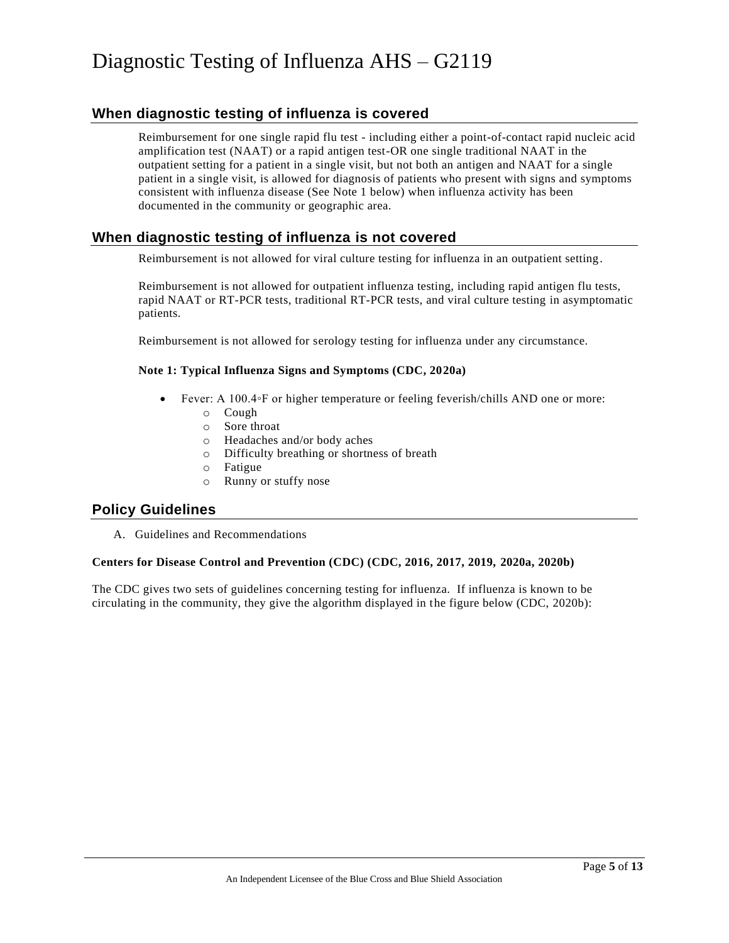### **When diagnostic testing of influenza is covered**

Reimbursement for one single rapid flu test - including either a point-of-contact rapid nucleic acid amplification test (NAAT) or a rapid antigen test-OR one single traditional NAAT in the outpatient setting for a patient in a single visit, but not both an antigen and NAAT for a single patient in a single visit, is allowed for diagnosis of patients who present with signs and symptoms consistent with influenza disease (See Note 1 below) when influenza activity has been documented in the community or geographic area.

### **When diagnostic testing of influenza is not covered**

Reimbursement is not allowed for viral culture testing for influenza in an outpatient setting.

Reimbursement is not allowed for outpatient influenza testing, including rapid antigen flu tests, rapid NAAT or RT-PCR tests, traditional RT-PCR tests, and viral culture testing in asymptomatic patients.

Reimbursement is not allowed for serology testing for influenza under any circumstance.

#### **Note 1: Typical Influenza Signs and Symptoms (CDC, 2020a)**

- Fever: A 100.4◦F or higher temperature or feeling feverish/chills AND one or more:
	- o Cough
	- o Sore throat
	- o Headaches and/or body aches
	- o Difficulty breathing or shortness of breath
	- o Fatigue
	- o Runny or stuffy nose

#### **Policy Guidelines**

A. Guidelines and Recommendations

#### **Centers for Disease Control and Prevention (CDC) (CDC, 2016, 2017, 2019, 2020a, 2020b)**

The CDC gives two sets of guidelines concerning testing for influenza. If influenza is known to be circulating in the community, they give the algorithm displayed in the figure below (CDC, 2020b):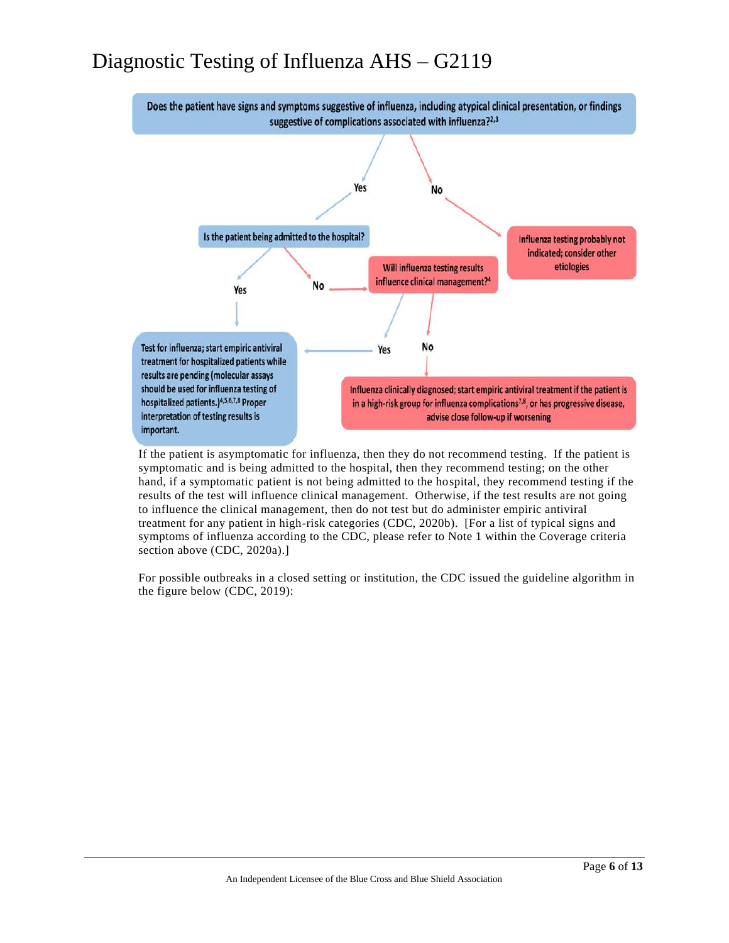

If the patient is asymptomatic for influenza, then they do not recommend testing. If the patient is symptomatic and is being admitted to the hospital, then they recommend testing; on the other hand, if a symptomatic patient is not being admitted to the hospital, they recommend testing if the results of the test will influence clinical management. Otherwise, if the test results are not going to influence the clinical management, then do not test but do administer empiric antiviral treatment for any patient in high-risk categories (CDC, 2020b). [For a list of typical signs and symptoms of influenza according to the CDC, please refer to Note 1 within the Coverage criteria section above (CDC, 2020a).]

For possible outbreaks in a closed setting or institution, the CDC issued the guideline algorithm in the figure below (CDC, 2019):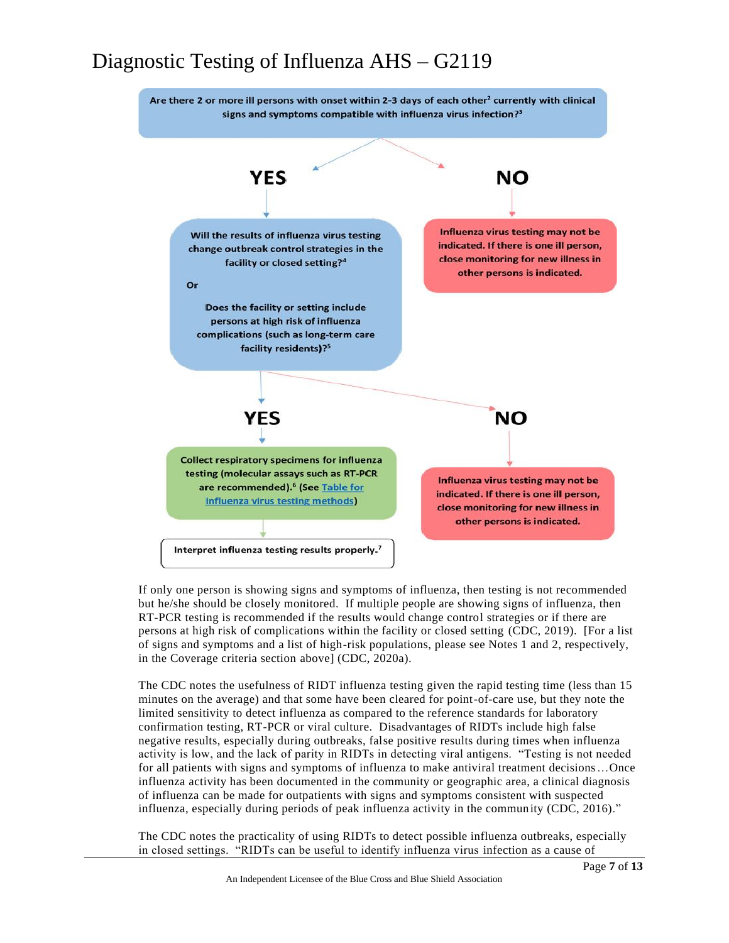

If only one person is showing signs and symptoms of influenza, then testing is not recommended but he/she should be closely monitored. If multiple people are showing signs of influenza, then RT-PCR testing is recommended if the results would change control strategies or if there are persons at high risk of complications within the facility or closed setting (CDC, 2019). [For a list of signs and symptoms and a list of high-risk populations, please see Notes 1 and 2, respectively, in the Coverage criteria section above] (CDC, 2020a).

The CDC notes the usefulness of RIDT influenza testing given the rapid testing time (less than 15 minutes on the average) and that some have been cleared for point-of-care use, but they note the limited sensitivity to detect influenza as compared to the reference standards for laboratory confirmation testing, RT-PCR or viral culture. Disadvantages of RIDTs include high false negative results, especially during outbreaks, false positive results during times when influenza activity is low, and the lack of parity in RIDTs in detecting viral antigens. "Testing is not needed for all patients with signs and symptoms of influenza to make antiviral treatment decisions…Once influenza activity has been documented in the community or geographic area, a clinical diagnosis of influenza can be made for outpatients with signs and symptoms consistent with suspected influenza, especially during periods of peak influenza activity in the community (CDC, 2016)."

The CDC notes the practicality of using RIDTs to detect possible influenza outbreaks, especially in closed settings. "RIDTs can be useful to identify influenza virus infection as a cause of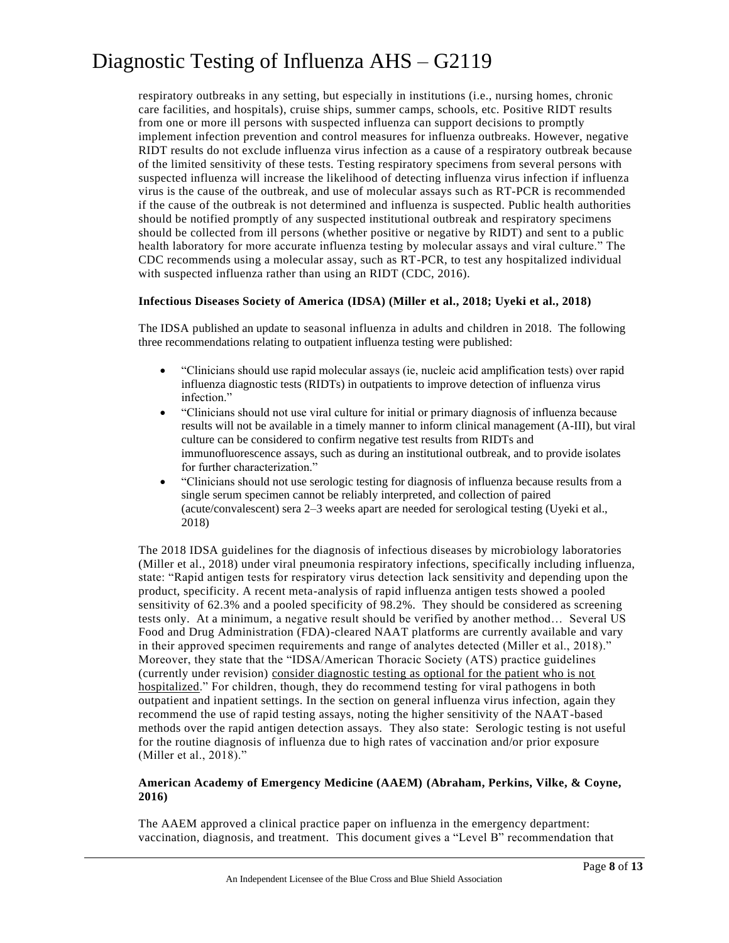respiratory outbreaks in any setting, but especially in institutions (i.e., nursing homes, chronic care facilities, and hospitals), cruise ships, summer camps, schools, etc. Positive RIDT results from one or more ill persons with suspected influenza can support decisions to promptly implement infection prevention and control measures for influenza outbreaks. However, negative RIDT results do not exclude influenza virus infection as a cause of a respiratory outbreak because of the limited sensitivity of these tests. Testing respiratory specimens from several persons with suspected influenza will increase the likelihood of detecting influenza virus infection if influenza virus is the cause of the outbreak, and use of molecular assays such as RT-PCR is recommended if the cause of the outbreak is not determined and influenza is suspected. Public health authorities should be notified promptly of any suspected institutional outbreak and respiratory specimens should be collected from ill persons (whether positive or negative by RIDT) and sent to a public health laboratory for more accurate influenza testing by molecular assays and viral culture." The CDC recommends using a molecular assay, such as RT-PCR, to test any hospitalized individual with suspected influenza rather than using an RIDT (CDC, 2016).

#### **Infectious Diseases Society of America (IDSA) (Miller et al., 2018; Uyeki et al., 2018)**

The IDSA published an update to seasonal influenza in adults and children in 2018. The following three recommendations relating to outpatient influenza testing were published:

- "Clinicians should use rapid molecular assays (ie, nucleic acid amplification tests) over rapid influenza diagnostic tests (RIDTs) in outpatients to improve detection of influenza virus infection."
- "Clinicians should not use viral culture for initial or primary diagnosis of influenza because results will not be available in a timely manner to inform clinical management (A-III), but viral culture can be considered to confirm negative test results from RIDTs and immunofluorescence assays, such as during an institutional outbreak, and to provide isolates for further characterization."
- "Clinicians should not use serologic testing for diagnosis of influenza because results from a single serum specimen cannot be reliably interpreted, and collection of paired (acute/convalescent) sera 2–3 weeks apart are needed for serological testing (Uyeki et al., 2018)

The 2018 IDSA guidelines for the diagnosis of infectious diseases by microbiology laboratories (Miller et al., 2018) under viral pneumonia respiratory infections, specifically including influenza, state: "Rapid antigen tests for respiratory virus detection lack sensitivity and depending upon the product, specificity. A recent meta-analysis of rapid influenza antigen tests showed a pooled sensitivity of 62.3% and a pooled specificity of 98.2%. They should be considered as screening tests only. At a minimum, a negative result should be verified by another method… Several US Food and Drug Administration (FDA)-cleared NAAT platforms are currently available and vary in their approved specimen requirements and range of analytes detected (Miller et al., 2018)." Moreover, they state that the "IDSA/American Thoracic Society (ATS) practice guidelines (currently under revision) consider diagnostic testing as optional for the patient who is not hospitalized." For children, though, they do recommend testing for viral pathogens in both outpatient and inpatient settings. In the section on general influenza virus infection, again they recommend the use of rapid testing assays, noting the higher sensitivity of the NAAT-based methods over the rapid antigen detection assays. They also state: Serologic testing is not useful for the routine diagnosis of influenza due to high rates of vaccination and/or prior exposure (Miller et al., 2018)."

#### **American Academy of Emergency Medicine (AAEM) (Abraham, Perkins, Vilke, & Coyne, 2016)**

The AAEM approved a clinical practice paper on influenza in the emergency department: vaccination, diagnosis, and treatment. This document gives a "Level B" recommendation that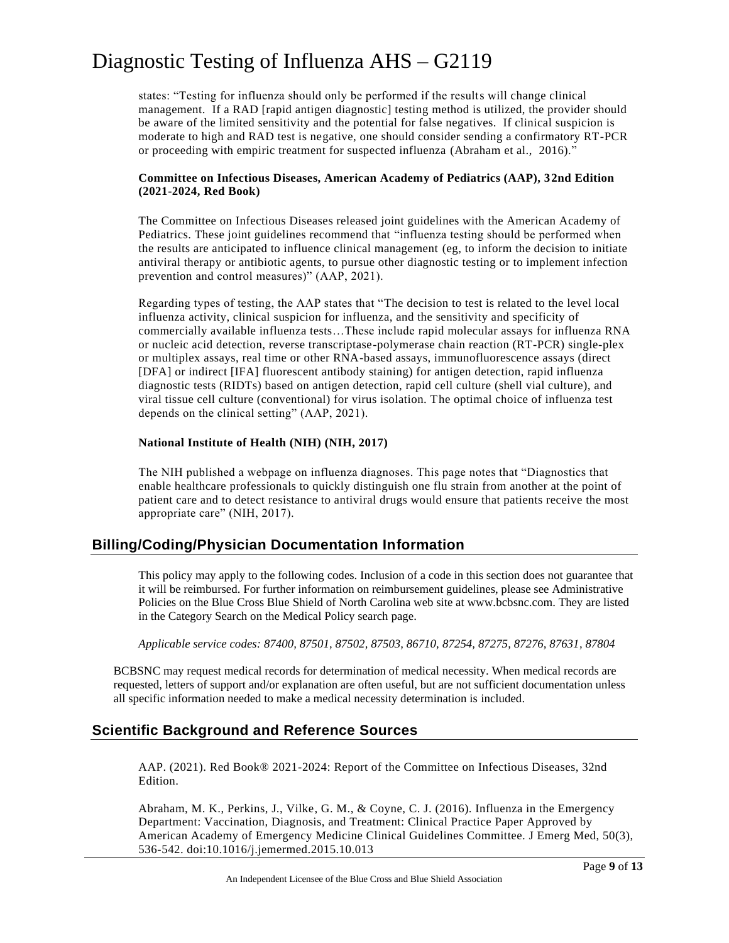states: "Testing for influenza should only be performed if the results will change clinical management. If a RAD [rapid antigen diagnostic] testing method is utilized, the provider should be aware of the limited sensitivity and the potential for false negatives. If clinical suspicion is moderate to high and RAD test is negative, one should consider sending a confirmatory RT-PCR or proceeding with empiric treatment for suspected influenza (Abraham et al., 2016)."

#### **Committee on Infectious Diseases, American Academy of Pediatrics (AAP), 32nd Edition (2021-2024, Red Book)**

The Committee on Infectious Diseases released joint guidelines with the American Academy of Pediatrics. These joint guidelines recommend that "influenza testing should be performed when the results are anticipated to influence clinical management (eg, to inform the decision to initiate antiviral therapy or antibiotic agents, to pursue other diagnostic testing or to implement infection prevention and control measures)" (AAP, 2021).

Regarding types of testing, the AAP states that "The decision to test is related to the level local influenza activity, clinical suspicion for influenza, and the sensitivity and specificity of commercially available influenza tests…These include rapid molecular assays for influenza RNA or nucleic acid detection, reverse transcriptase-polymerase chain reaction (RT-PCR) single-plex or multiplex assays, real time or other RNA-based assays, immunofluorescence assays (direct [DFA] or indirect [IFA] fluorescent antibody staining) for antigen detection, rapid influenza diagnostic tests (RIDTs) based on antigen detection, rapid cell culture (shell vial culture), and viral tissue cell culture (conventional) for virus isolation. The optimal choice of influenza test depends on the clinical setting" (AAP, 2021).

#### **National Institute of Health (NIH) (NIH, 2017)**

The NIH published a webpage on influenza diagnoses. This page notes that "Diagnostics that enable healthcare professionals to quickly distinguish one flu strain from another at the point of patient care and to detect resistance to antiviral drugs would ensure that patients receive the most appropriate care" (NIH, 2017).

### **Billing/Coding/Physician Documentation Information**

This policy may apply to the following codes. Inclusion of a code in this section does not guarantee that it will be reimbursed. For further information on reimbursement guidelines, please see Administrative Policies on the Blue Cross Blue Shield of North Carolina web site at www.bcbsnc.com. They are listed in the Category Search on the Medical Policy search page.

*Applicable service codes: 87400, 87501, 87502, 87503, 86710, 87254, 87275, 87276, 87631, 87804*

BCBSNC may request medical records for determination of medical necessity. When medical records are requested, letters of support and/or explanation are often useful, but are not sufficient documentation unless all specific information needed to make a medical necessity determination is included.

### **Scientific Background and Reference Sources**

AAP. (2021). Red Book® 2021-2024: Report of the Committee on Infectious Diseases, 32nd Edition.

Abraham, M. K., Perkins, J., Vilke, G. M., & Coyne, C. J. (2016). Influenza in the Emergency Department: Vaccination, Diagnosis, and Treatment: Clinical Practice Paper Approved by American Academy of Emergency Medicine Clinical Guidelines Committee. J Emerg Med, 50(3), 536-542. doi:10.1016/j.jemermed.2015.10.013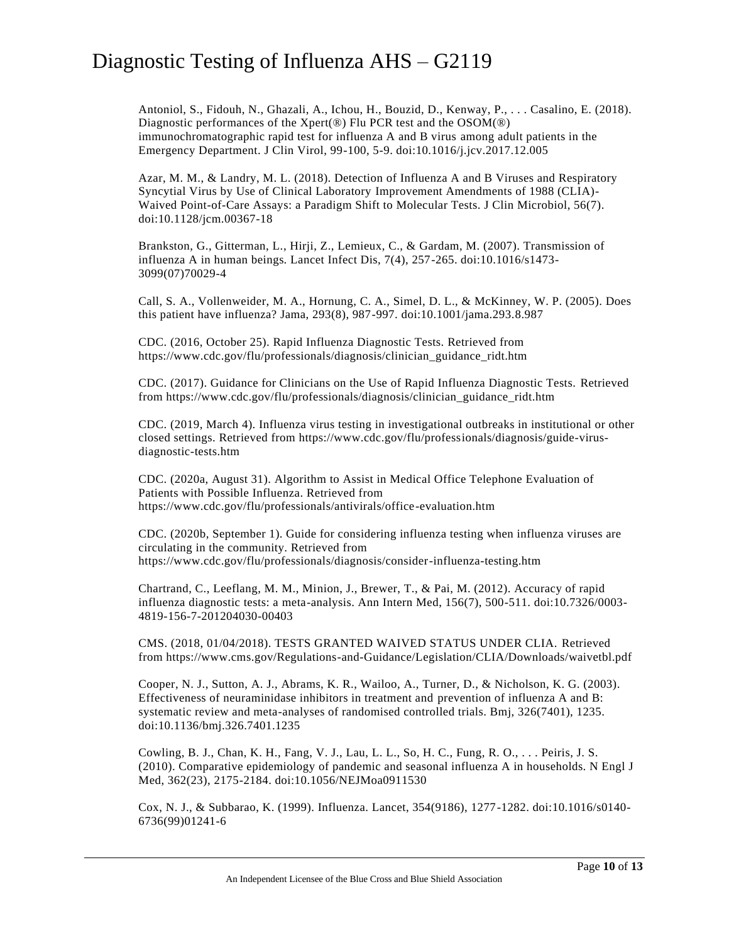Antoniol, S., Fidouh, N., Ghazali, A., Ichou, H., Bouzid, D., Kenway, P., . . . Casalino, E. (2018). Diagnostic performances of the Xpert(®) Flu PCR test and the OSOM(®) immunochromatographic rapid test for influenza A and B virus among adult patients in the Emergency Department. J Clin Virol, 99-100, 5-9. doi:10.1016/j.jcv.2017.12.005

Azar, M. M., & Landry, M. L. (2018). Detection of Influenza A and B Viruses and Respiratory Syncytial Virus by Use of Clinical Laboratory Improvement Amendments of 1988 (CLIA)- Waived Point-of-Care Assays: a Paradigm Shift to Molecular Tests. J Clin Microbiol, 56(7). doi:10.1128/jcm.00367-18

Brankston, G., Gitterman, L., Hirji, Z., Lemieux, C., & Gardam, M. (2007). Transmission of influenza A in human beings. Lancet Infect Dis, 7(4), 257-265. doi:10.1016/s1473- 3099(07)70029-4

Call, S. A., Vollenweider, M. A., Hornung, C. A., Simel, D. L., & McKinney, W. P. (2005). Does this patient have influenza? Jama, 293(8), 987-997. doi:10.1001/jama.293.8.987

CDC. (2016, October 25). Rapid Influenza Diagnostic Tests. Retrieved from https://www.cdc.gov/flu/professionals/diagnosis/clinician\_guidance\_ridt.htm

CDC. (2017). Guidance for Clinicians on the Use of Rapid Influenza Diagnostic Tests. Retrieved from https://www.cdc.gov/flu/professionals/diagnosis/clinician\_guidance\_ridt.htm

CDC. (2019, March 4). Influenza virus testing in investigational outbreaks in institutional or other closed settings. Retrieved from https://www.cdc.gov/flu/professionals/diagnosis/guide-virusdiagnostic-tests.htm

CDC. (2020a, August 31). Algorithm to Assist in Medical Office Telephone Evaluation of Patients with Possible Influenza. Retrieved from https://www.cdc.gov/flu/professionals/antivirals/office-evaluation.htm

CDC. (2020b, September 1). Guide for considering influenza testing when influenza viruses are circulating in the community. Retrieved from https://www.cdc.gov/flu/professionals/diagnosis/consider-influenza-testing.htm

Chartrand, C., Leeflang, M. M., Minion, J., Brewer, T., & Pai, M. (2012). Accuracy of rapid influenza diagnostic tests: a meta-analysis. Ann Intern Med, 156(7), 500-511. doi:10.7326/0003- 4819-156-7-201204030-00403

CMS. (2018, 01/04/2018). TESTS GRANTED WAIVED STATUS UNDER CLIA. Retrieved from https://www.cms.gov/Regulations-and-Guidance/Legislation/CLIA/Downloads/waivetbl.pdf

Cooper, N. J., Sutton, A. J., Abrams, K. R., Wailoo, A., Turner, D., & Nicholson, K. G. (2003). Effectiveness of neuraminidase inhibitors in treatment and prevention of influenza A and B: systematic review and meta-analyses of randomised controlled trials. Bmj, 326(7401), 1235. doi:10.1136/bmj.326.7401.1235

Cowling, B. J., Chan, K. H., Fang, V. J., Lau, L. L., So, H. C., Fung, R. O., . . . Peiris, J. S. (2010). Comparative epidemiology of pandemic and seasonal influenza A in households. N Engl J Med, 362(23), 2175-2184. doi:10.1056/NEJMoa0911530

Cox, N. J., & Subbarao, K. (1999). Influenza. Lancet, 354(9186), 1277-1282. doi:10.1016/s0140- 6736(99)01241-6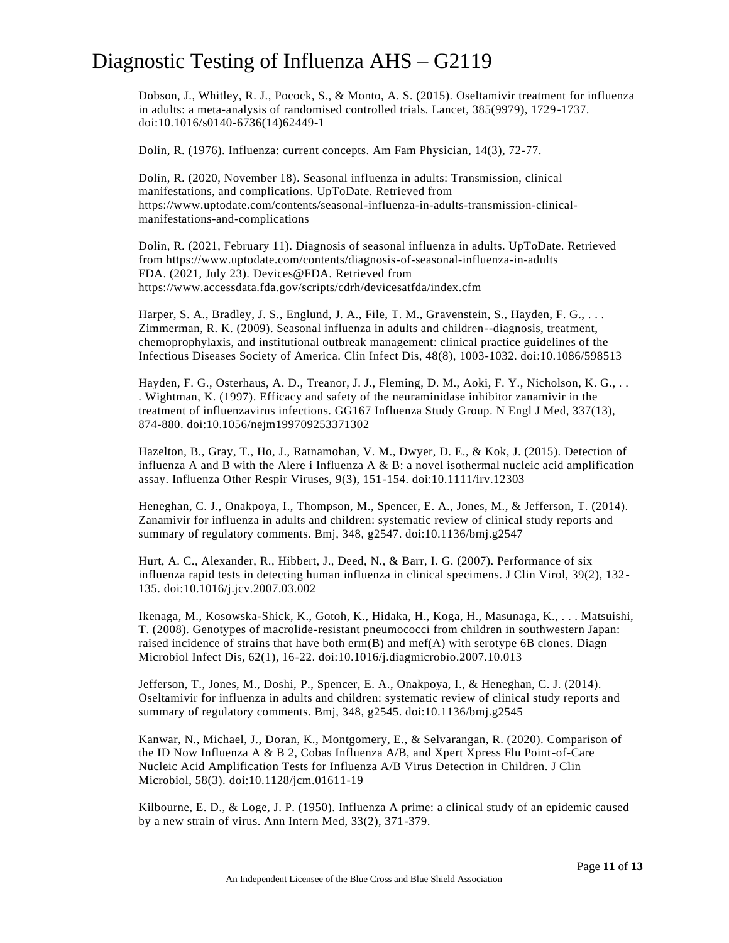Dobson, J., Whitley, R. J., Pocock, S., & Monto, A. S. (2015). Oseltamivir treatment for influenza in adults: a meta-analysis of randomised controlled trials. Lancet, 385(9979), 1729-1737. doi:10.1016/s0140-6736(14)62449-1

Dolin, R. (1976). Influenza: current concepts. Am Fam Physician, 14(3), 72-77.

Dolin, R. (2020, November 18). Seasonal influenza in adults: Transmission, clinical manifestations, and complications. UpToDate. Retrieved from https://www.uptodate.com/contents/seasonal-influenza-in-adults-transmission-clinicalmanifestations-and-complications

Dolin, R. (2021, February 11). Diagnosis of seasonal influenza in adults. UpToDate. Retrieved from https://www.uptodate.com/contents/diagnosis-of-seasonal-influenza-in-adults FDA. (2021, July 23). Devices@FDA. Retrieved from https://www.accessdata.fda.gov/scripts/cdrh/devicesatfda/index.cfm

Harper, S. A., Bradley, J. S., Englund, J. A., File, T. M., Gravenstein, S., Hayden, F. G., ... Zimmerman, R. K. (2009). Seasonal influenza in adults and children--diagnosis, treatment, chemoprophylaxis, and institutional outbreak management: clinical practice guidelines of the Infectious Diseases Society of America. Clin Infect Dis, 48(8), 1003-1032. doi:10.1086/598513

Hayden, F. G., Osterhaus, A. D., Treanor, J. J., Fleming, D. M., Aoki, F. Y., Nicholson, K. G., . . . Wightman, K. (1997). Efficacy and safety of the neuraminidase inhibitor zanamivir in the treatment of influenzavirus infections. GG167 Influenza Study Group. N Engl J Med, 337(13), 874-880. doi:10.1056/nejm199709253371302

Hazelton, B., Gray, T., Ho, J., Ratnamohan, V. M., Dwyer, D. E., & Kok, J. (2015). Detection of influenza A and B with the Alere i Influenza A & B: a novel isothermal nucleic acid amplification assay. Influenza Other Respir Viruses, 9(3), 151-154. doi:10.1111/irv.12303

Heneghan, C. J., Onakpoya, I., Thompson, M., Spencer, E. A., Jones, M., & Jefferson, T. (2014). Zanamivir for influenza in adults and children: systematic review of clinical study reports and summary of regulatory comments. Bmj, 348, g2547. doi:10.1136/bmj.g2547

Hurt, A. C., Alexander, R., Hibbert, J., Deed, N., & Barr, I. G. (2007). Performance of six influenza rapid tests in detecting human influenza in clinical specimens. J Clin Virol, 39(2), 132 - 135. doi:10.1016/j.jcv.2007.03.002

Ikenaga, M., Kosowska-Shick, K., Gotoh, K., Hidaka, H., Koga, H., Masunaga, K., . . . Matsuishi, T. (2008). Genotypes of macrolide-resistant pneumococci from children in southwestern Japan: raised incidence of strains that have both erm(B) and mef(A) with serotype 6B clones. Diagn Microbiol Infect Dis, 62(1), 16-22. doi:10.1016/j.diagmicrobio.2007.10.013

Jefferson, T., Jones, M., Doshi, P., Spencer, E. A., Onakpoya, I., & Heneghan, C. J. (2014). Oseltamivir for influenza in adults and children: systematic review of clinical study reports and summary of regulatory comments. Bmj, 348, g2545. doi:10.1136/bmj.g2545

Kanwar, N., Michael, J., Doran, K., Montgomery, E., & Selvarangan, R. (2020). Comparison of the ID Now Influenza A & B 2, Cobas Influenza A/B, and Xpert Xpress Flu Point-of-Care Nucleic Acid Amplification Tests for Influenza A/B Virus Detection in Children. J Clin Microbiol, 58(3). doi:10.1128/jcm.01611-19

Kilbourne, E. D., & Loge, J. P. (1950). Influenza A prime: a clinical study of an epidemic caused by a new strain of virus. Ann Intern Med, 33(2), 371-379.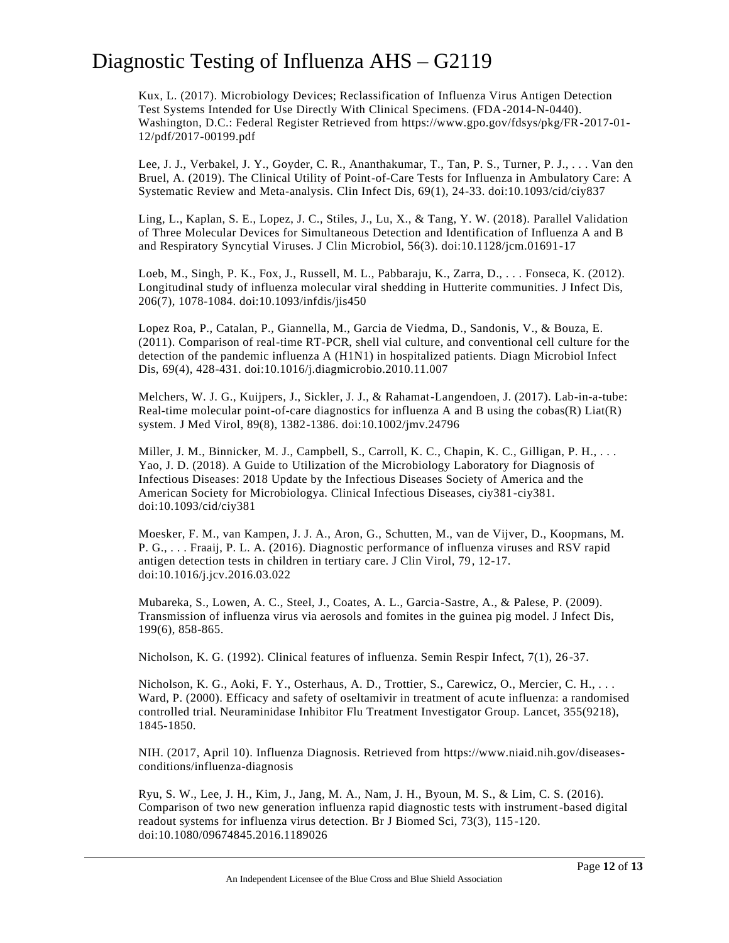Kux, L. (2017). Microbiology Devices; Reclassification of Influenza Virus Antigen Detection Test Systems Intended for Use Directly With Clinical Specimens. (FDA-2014-N-0440). Washington, D.C.: Federal Register Retrieved from https://www.gpo.gov/fdsys/pkg/FR-2017-01- 12/pdf/2017-00199.pdf

Lee, J. J., Verbakel, J. Y., Goyder, C. R., Ananthakumar, T., Tan, P. S., Turner, P. J., . . . Van den Bruel, A. (2019). The Clinical Utility of Point-of-Care Tests for Influenza in Ambulatory Care: A Systematic Review and Meta-analysis. Clin Infect Dis, 69(1), 24-33. doi:10.1093/cid/ciy837

Ling, L., Kaplan, S. E., Lopez, J. C., Stiles, J., Lu, X., & Tang, Y. W. (2018). Parallel Validation of Three Molecular Devices for Simultaneous Detection and Identification of Influenza A and B and Respiratory Syncytial Viruses. J Clin Microbiol, 56(3). doi:10.1128/jcm.01691-17

Loeb, M., Singh, P. K., Fox, J., Russell, M. L., Pabbaraju, K., Zarra, D., . . . Fonseca, K. (2012). Longitudinal study of influenza molecular viral shedding in Hutterite communities. J Infect Dis, 206(7), 1078-1084. doi:10.1093/infdis/jis450

Lopez Roa, P., Catalan, P., Giannella, M., Garcia de Viedma, D., Sandonis, V., & Bouza, E. (2011). Comparison of real-time RT-PCR, shell vial culture, and conventional cell culture for the detection of the pandemic influenza A (H1N1) in hospitalized patients. Diagn Microbiol Infect Dis, 69(4), 428-431. doi:10.1016/j.diagmicrobio.2010.11.007

Melchers, W. J. G., Kuijpers, J., Sickler, J. J., & Rahamat-Langendoen, J. (2017). Lab-in-a-tube: Real-time molecular point-of-care diagnostics for influenza A and B using the  $cobs(R)$  Liat(R) system. J Med Virol, 89(8), 1382-1386. doi:10.1002/jmv.24796

Miller, J. M., Binnicker, M. J., Campbell, S., Carroll, K. C., Chapin, K. C., Gilligan, P. H., ... Yao, J. D. (2018). A Guide to Utilization of the Microbiology Laboratory for Diagnosis of Infectious Diseases: 2018 Update by the Infectious Diseases Society of America and the American Society for Microbiologya. Clinical Infectious Diseases, ciy381-ciy381. doi:10.1093/cid/ciy381

Moesker, F. M., van Kampen, J. J. A., Aron, G., Schutten, M., van de Vijver, D., Koopmans, M. P. G., . . . Fraaij, P. L. A. (2016). Diagnostic performance of influenza viruses and RSV rapid antigen detection tests in children in tertiary care. J Clin Virol, 79, 12-17. doi:10.1016/j.jcv.2016.03.022

Mubareka, S., Lowen, A. C., Steel, J., Coates, A. L., Garcia-Sastre, A., & Palese, P. (2009). Transmission of influenza virus via aerosols and fomites in the guinea pig model. J Infect Dis, 199(6), 858-865.

Nicholson, K. G. (1992). Clinical features of influenza. Semin Respir Infect, 7(1), 26 -37.

Nicholson, K. G., Aoki, F. Y., Osterhaus, A. D., Trottier, S., Carewicz, O., Mercier, C. H., . . . Ward, P. (2000). Efficacy and safety of oseltamivir in treatment of acute influenza: a randomised controlled trial. Neuraminidase Inhibitor Flu Treatment Investigator Group. Lancet, 355(9218), 1845-1850.

NIH. (2017, April 10). Influenza Diagnosis. Retrieved from https://www.niaid.nih.gov/diseasesconditions/influenza-diagnosis

Ryu, S. W., Lee, J. H., Kim, J., Jang, M. A., Nam, J. H., Byoun, M. S., & Lim, C. S. (2016). Comparison of two new generation influenza rapid diagnostic tests with instrument-based digital readout systems for influenza virus detection. Br J Biomed Sci, 73(3), 115-120. doi:10.1080/09674845.2016.1189026